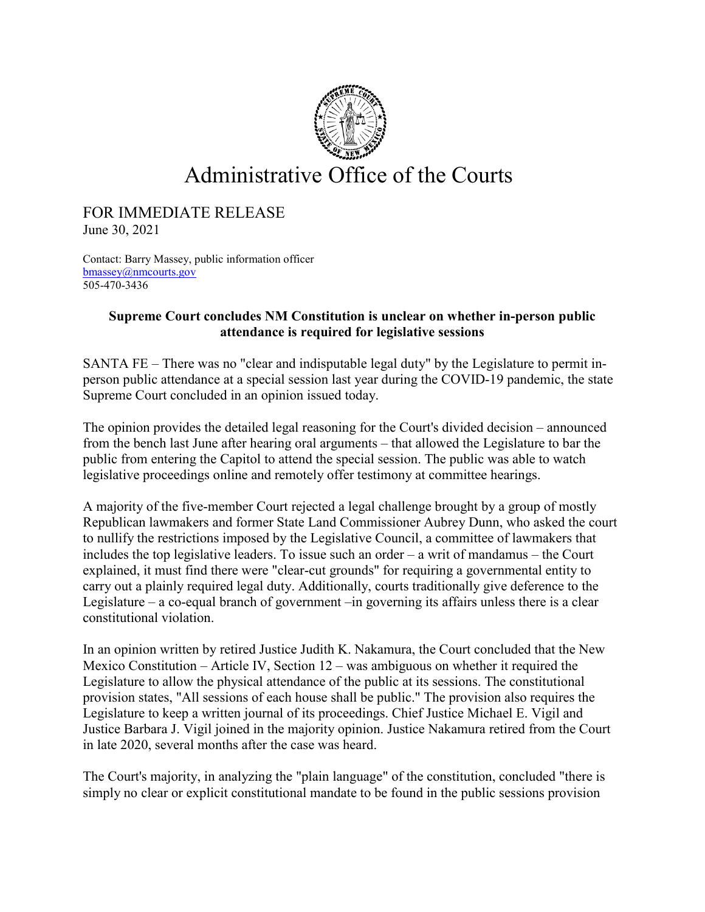

## Administrative Office of the Courts

## FOR IMMEDIATE RELEASE

June 30, 2021

Contact: Barry Massey, public information officer [bmassey@nmcourts.gov](mailto:bmassey@nmcourts.gov) 505-470-3436

## **Supreme Court concludes NM Constitution is unclear on whether in-person public attendance is required for legislative sessions**

SANTA FE – There was no "clear and indisputable legal duty" by the Legislature to permit inperson public attendance at a special session last year during the COVID-19 pandemic, the state Supreme Court concluded in an opinion issued today.

The opinion provides the detailed legal reasoning for the Court's divided decision – announced from the bench last June after hearing oral arguments – that allowed the Legislature to bar the public from entering the Capitol to attend the special session. The public was able to watch legislative proceedings online and remotely offer testimony at committee hearings.

A majority of the five-member Court rejected a legal challenge brought by a group of mostly Republican lawmakers and former State Land Commissioner Aubrey Dunn, who asked the court to nullify the restrictions imposed by the Legislative Council, a committee of lawmakers that includes the top legislative leaders. To issue such an order – a writ of mandamus – the Court explained, it must find there were "clear-cut grounds" for requiring a governmental entity to carry out a plainly required legal duty. Additionally, courts traditionally give deference to the Legislature – a co-equal branch of government –in governing its affairs unless there is a clear constitutional violation.

In an opinion written by retired Justice Judith K. Nakamura, the Court concluded that the New Mexico Constitution – Article IV, Section 12 – was ambiguous on whether it required the Legislature to allow the physical attendance of the public at its sessions. The constitutional provision states, "All sessions of each house shall be public." The provision also requires the Legislature to keep a written journal of its proceedings. Chief Justice Michael E. Vigil and Justice Barbara J. Vigil joined in the majority opinion. Justice Nakamura retired from the Court in late 2020, several months after the case was heard.

The Court's majority, in analyzing the "plain language" of the constitution, concluded "there is simply no clear or explicit constitutional mandate to be found in the public sessions provision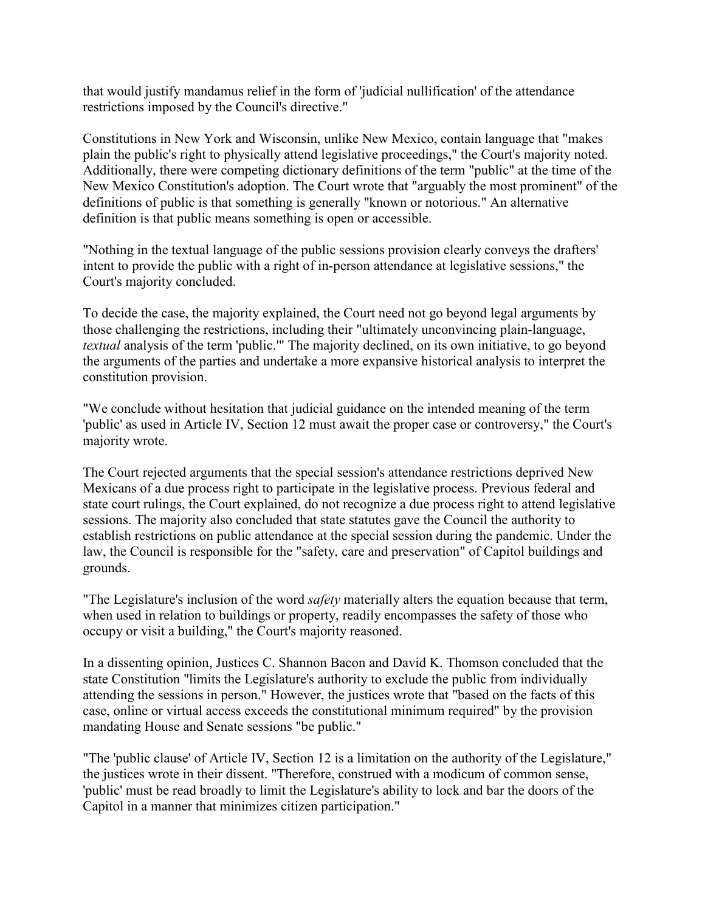that would justify mandamus relief in the form of 'judicial nullification' of the attendance restrictions imposed by the Council's directive."

Constitutions in New York and Wisconsin, unlike New Mexico, contain language that "makes plain the public's right to physically attend legislative proceedings," the Court's majority noted. Additionally, there were competing dictionary definitions of the term "public" at the time of the New Mexico Constitution's adoption. The Court wrote that "arguably the most prominent" of the definitions of public is that something is generally "known or notorious." An alternative definition is that public means something is open or accessible.

"Nothing in the textual language of the public sessions provision clearly conveys the drafters' intent to provide the public with a right of in-person attendance at legislative sessions," the Court's majority concluded.

To decide the case, the majority explained, the Court need not go beyond legal arguments by those challenging the restrictions, including their "ultimately unconvincing plain-language, *textual* analysis of the term 'public.'" The majority declined, on its own initiative, to go beyond the arguments of the parties and undertake a more expansive historical analysis to interpret the constitution provision.

"We conclude without hesitation that judicial guidance on the intended meaning of the term 'public' as used in Article IV, Section 12 must await the proper case or controversy," the Court's majority wrote.

The Court rejected arguments that the special session's attendance restrictions deprived New Mexicans of a due process right to participate in the legislative process. Previous federal and state court rulings, the Court explained, do not recognize a due process right to attend legislative sessions. The majority also concluded that state statutes gave the Council the authority to establish restrictions on public attendance at the special session during the pandemic. Under the law, the Council is responsible for the "safety, care and preservation" of Capitol buildings and grounds.

"The Legislature's inclusion of the word *safety* materially alters the equation because that term, when used in relation to buildings or property, readily encompasses the safety of those who occupy or visit a building," the Court's majority reasoned.

In a dissenting opinion, Justices C. Shannon Bacon and David K. Thomson concluded that the state Constitution "limits the Legislature's authority to exclude the public from individually attending the sessions in person." However, the justices wrote that "based on the facts of this case, online or virtual access exceeds the constitutional minimum required" by the provision mandating House and Senate sessions "be public."

"The 'public clause' of Article IV, Section 12 is a limitation on the authority of the Legislature," the justices wrote in their dissent. "Therefore, construed with a modicum of common sense, 'public' must be read broadly to limit the Legislature's ability to lock and bar the doors of the Capitol in a manner that minimizes citizen participation."